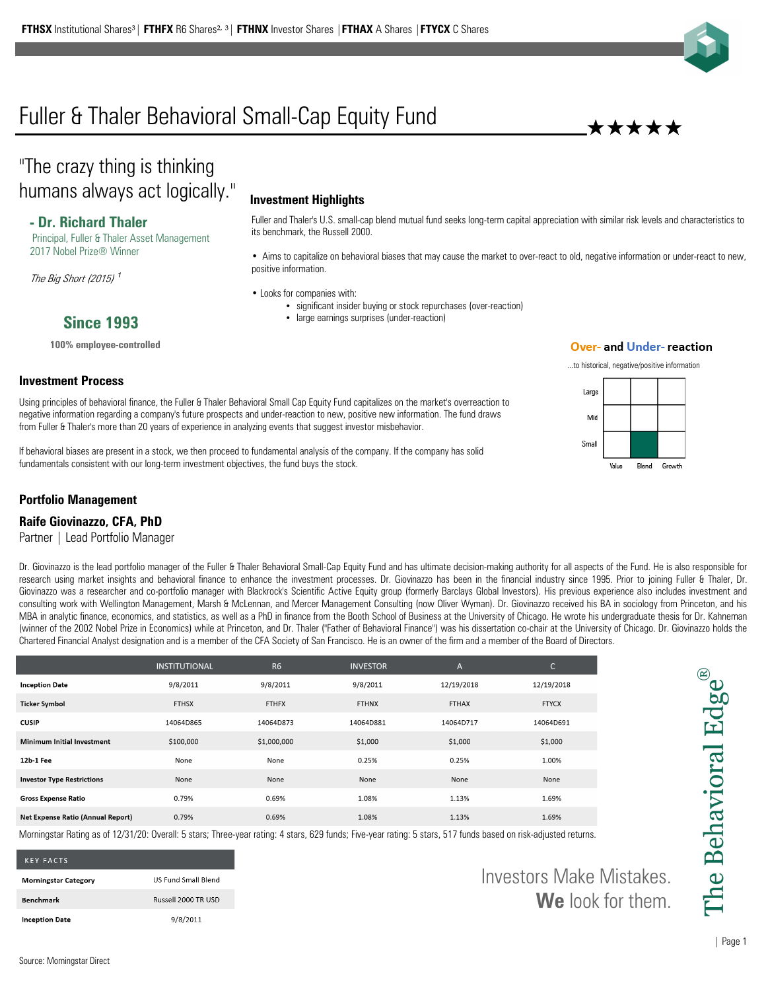# Fuller & Thaler Behavioral Small-Cap Equity Fund

# "The crazy thing is thinking humans always act logically."

# **- Dr. Richard Thaler**

**Since 1993**

**100% employee-controlled**

Principal, Fuller & Thaler Asset Management 2017 Nobel Prize® Winner

The Big Short (2015)  $1$ 

**Investment Process**

## **Investment Highlights**

Fuller and Thaler's U.S. small-cap blend mutual fund seeks long-term capital appreciation with similar risk levels and characteristics to its benchmark, the Russell 2000.

• Aims to capitalize on behavioral biases that may cause the market to over-react to old, negative information or under-react to new, positive information.

• Looks for companies with:

- significant insider buying or stock repurchases (over-reaction)
- large earnings surprises (under-reaction)

#### **Over- and Under- reaction**

...to historical, negative/positive information

\*\*\*\*\*



from Fuller & Thaler's more than 20 years of experience in analyzing events that suggest investor misbehavior. If behavioral biases are present in a stock, we then proceed to fundamental analysis of the company. If the company has solid

fundamentals consistent with our long-term investment objectives, the fund buys the stock.

Using principles of behavioral finance, the Fuller & Thaler Behavioral Small Cap Equity Fund capitalizes on the market's overreaction to negative information regarding a company's future prospects and under-reaction to new, positive new information. The fund draws

### **Portfolio Management**

#### **Raife Giovinazzo, CFA, PhD**

Partner | Lead Portfolio Manager

Dr. Giovinazzo is the lead portfolio manager of the Fuller & Thaler Behavioral Small-Cap Equity Fund and has ultimate decision-making authority for all aspects of the Fund. He is also responsible for research using market insights and behavioral finance to enhance the investment processes. Dr. Giovinazzo has been in the financial industry since 1995. Prior to joining Fuller & Thaler, Dr. Giovinazzo was a researcher and co-portfolio manager with Blackrock's Scientific Active Equity group (formerly Barclays Global Investors). His previous experience also includes investment and consulting work with Wellington Management, Marsh & McLennan, and Mercer Management Consulting (now Oliver Wyman). Dr. Giovinazzo received his BA in sociology from Princeton, and his MBA in analytic finance, economics, and statistics, as well as a PhD in finance from the Booth School of Business at the University of Chicago. He wrote his undergraduate thesis for Dr. Kahneman (winner of the 2002 Nobel Prize in Economics) while at Princeton, and Dr. Thaler ("Father of Behavioral Finance") was his dissertation co-chair at the University of Chicago. Dr. Giovinazzo holds the Chartered Financial Analyst designation and is a member of the CFA Society of San Francisco. He is an owner of the firm and a member of the Board of Directors.

|                                          | <b>INSTITUTIONAL</b> | <b>R6</b>    | <b>INVESTOR</b> | $\mathsf{A}$ | $\overline{\phantom{0}}$<br>U |
|------------------------------------------|----------------------|--------------|-----------------|--------------|-------------------------------|
| <b>Inception Date</b>                    | 9/8/2011             | 9/8/2011     | 9/8/2011        | 12/19/2018   | 12/19/2018                    |
| <b>Ticker Symbol</b>                     | <b>FTHSX</b>         | <b>FTHFX</b> | <b>FTHNX</b>    | <b>FTHAX</b> | <b>FTYCX</b>                  |
| <b>CUSIP</b>                             | 14064D865            | 14064D873    | 14064D881       | 14064D717    | 14064D691                     |
| <b>Minimum Initial Investment</b>        | \$100,000            | \$1,000,000  | \$1,000         | \$1,000      | \$1,000                       |
| 12b-1 Fee                                | None                 | None         | 0.25%           | 0.25%        | 1.00%                         |
| <b>Investor Type Restrictions</b>        | None                 | None         | None            | None         | None                          |
| <b>Gross Expense Ratio</b>               | 0.79%                | 0.69%        | 1.08%           | 1.13%        | 1.69%                         |
| <b>Net Expense Ratio (Annual Report)</b> | 0.79%                | 0.69%        | 1.08%           | 1.13%        | 1.69%                         |

Morningstar Rating as of 12/31/20: Overall: 5 stars; Three-year rating: 4 stars, 629 funds; Five-year rating: 5 stars, 517 funds based on risk-adjusted returns.

| <b>KFY FACTS</b>            |                            |
|-----------------------------|----------------------------|
| <b>Morningstar Category</b> | <b>US Fund Small Blend</b> |
| <b>Benchmark</b>            | Russell 2000 TR USD        |
| <b>Inception Date</b>       | 9/8/2011                   |

Investors Make Mistakes. **We** look for them.